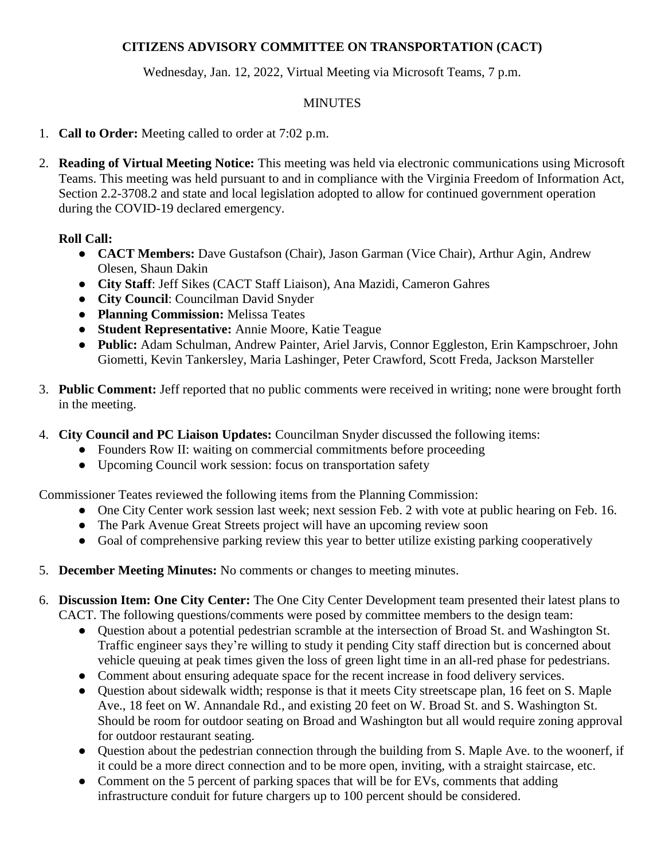## **CITIZENS ADVISORY COMMITTEE ON TRANSPORTATION (CACT)**

Wednesday, Jan. 12, 2022, Virtual Meeting via Microsoft Teams, 7 p.m.

## MINUTES

- 1. **Call to Order:** Meeting called to order at 7:02 p.m.
- 2. **Reading of Virtual Meeting Notice:** This meeting was held via electronic communications using Microsoft Teams. This meeting was held pursuant to and in compliance with the Virginia Freedom of Information Act, Section 2.2-3708.2 and state and local legislation adopted to allow for continued government operation during the COVID-19 declared emergency.

## **Roll Call:**

- **CACT Members:** Dave Gustafson (Chair), Jason Garman (Vice Chair), Arthur Agin, Andrew Olesen, Shaun Dakin
- **City Staff**: Jeff Sikes (CACT Staff Liaison), Ana Mazidi, Cameron Gahres
- **City Council**: Councilman David Snyder
- **Planning Commission:** Melissa Teates
- **Student Representative:** Annie Moore, Katie Teague
- **Public:** Adam Schulman, Andrew Painter, Ariel Jarvis, Connor Eggleston, Erin Kampschroer, John Giometti, Kevin Tankersley, Maria Lashinger, Peter Crawford, Scott Freda, Jackson Marsteller
- 3. **Public Comment:** Jeff reported that no public comments were received in writing; none were brought forth in the meeting.
- 4. **City Council and PC Liaison Updates:** Councilman Snyder discussed the following items:
	- Founders Row II: waiting on commercial commitments before proceeding
	- Upcoming Council work session: focus on transportation safety

Commissioner Teates reviewed the following items from the Planning Commission:

- One City Center work session last week; next session Feb. 2 with vote at public hearing on Feb. 16.
- The Park Avenue Great Streets project will have an upcoming review soon
- Goal of comprehensive parking review this year to better utilize existing parking cooperatively
- 5. **December Meeting Minutes:** No comments or changes to meeting minutes.
- 6. **Discussion Item: One City Center:** The One City Center Development team presented their latest plans to CACT. The following questions/comments were posed by committee members to the design team:
	- Question about a potential pedestrian scramble at the intersection of Broad St. and Washington St. Traffic engineer says they're willing to study it pending City staff direction but is concerned about vehicle queuing at peak times given the loss of green light time in an all-red phase for pedestrians.
	- Comment about ensuring adequate space for the recent increase in food delivery services.
	- Question about sidewalk width; response is that it meets City streetscape plan, 16 feet on S. Maple Ave., 18 feet on W. Annandale Rd., and existing 20 feet on W. Broad St. and S. Washington St. Should be room for outdoor seating on Broad and Washington but all would require zoning approval for outdoor restaurant seating.
	- Question about the pedestrian connection through the building from S. Maple Ave. to the woonerf, if it could be a more direct connection and to be more open, inviting, with a straight staircase, etc.
	- Comment on the 5 percent of parking spaces that will be for EVs, comments that adding infrastructure conduit for future chargers up to 100 percent should be considered.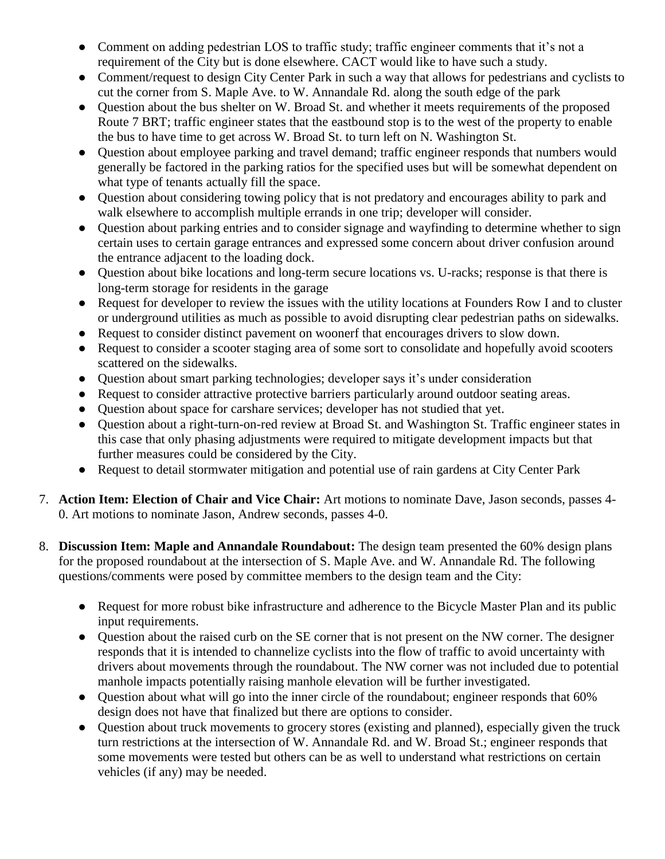- Comment on adding pedestrian LOS to traffic study; traffic engineer comments that it's not a requirement of the City but is done elsewhere. CACT would like to have such a study.
- Comment/request to design City Center Park in such a way that allows for pedestrians and cyclists to cut the corner from S. Maple Ave. to W. Annandale Rd. along the south edge of the park
- Question about the bus shelter on W. Broad St. and whether it meets requirements of the proposed Route 7 BRT; traffic engineer states that the eastbound stop is to the west of the property to enable the bus to have time to get across W. Broad St. to turn left on N. Washington St.
- Question about employee parking and travel demand; traffic engineer responds that numbers would generally be factored in the parking ratios for the specified uses but will be somewhat dependent on what type of tenants actually fill the space.
- Question about considering towing policy that is not predatory and encourages ability to park and walk elsewhere to accomplish multiple errands in one trip; developer will consider.
- Question about parking entries and to consider signage and wayfinding to determine whether to sign certain uses to certain garage entrances and expressed some concern about driver confusion around the entrance adjacent to the loading dock.
- Question about bike locations and long-term secure locations vs. U-racks; response is that there is long-term storage for residents in the garage
- Request for developer to review the issues with the utility locations at Founders Row I and to cluster or underground utilities as much as possible to avoid disrupting clear pedestrian paths on sidewalks.
- Request to consider distinct pavement on woonerf that encourages drivers to slow down.
- Request to consider a scooter staging area of some sort to consolidate and hopefully avoid scooters scattered on the sidewalks.
- Question about smart parking technologies; developer says it's under consideration
- Request to consider attractive protective barriers particularly around outdoor seating areas.
- Question about space for carshare services; developer has not studied that yet.
- Question about a right-turn-on-red review at Broad St. and Washington St. Traffic engineer states in this case that only phasing adjustments were required to mitigate development impacts but that further measures could be considered by the City.
- Request to detail stormwater mitigation and potential use of rain gardens at City Center Park
- 7. **Action Item: Election of Chair and Vice Chair:** Art motions to nominate Dave, Jason seconds, passes 4- 0. Art motions to nominate Jason, Andrew seconds, passes 4-0.
- 8. **Discussion Item: Maple and Annandale Roundabout:** The design team presented the 60% design plans for the proposed roundabout at the intersection of S. Maple Ave. and W. Annandale Rd. The following questions/comments were posed by committee members to the design team and the City:
	- Request for more robust bike infrastructure and adherence to the Bicycle Master Plan and its public input requirements.
	- Question about the raised curb on the SE corner that is not present on the NW corner. The designer responds that it is intended to channelize cyclists into the flow of traffic to avoid uncertainty with drivers about movements through the roundabout. The NW corner was not included due to potential manhole impacts potentially raising manhole elevation will be further investigated.
	- Question about what will go into the inner circle of the roundabout; engineer responds that 60% design does not have that finalized but there are options to consider.
	- Question about truck movements to grocery stores (existing and planned), especially given the truck turn restrictions at the intersection of W. Annandale Rd. and W. Broad St.; engineer responds that some movements were tested but others can be as well to understand what restrictions on certain vehicles (if any) may be needed.